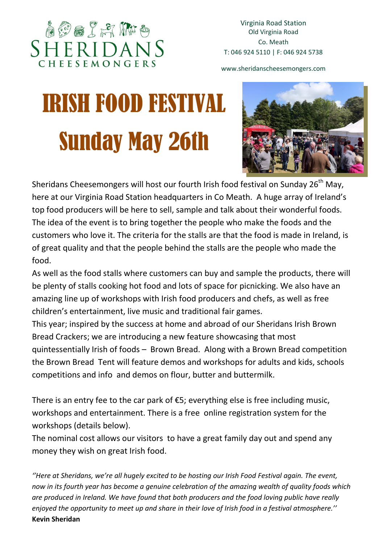## **AOOIAR** CHEESEMONG

www.sheridanscheesemongers.com

# IRISH FOOD FESTIVAL Sunday May 26th



Sheridans Cheesemongers will host our fourth Irish food festival on Sunday 26<sup>th</sup> May, here at our Virginia Road Station headquarters in Co Meath. A huge array of Ireland's top food producers will be here to sell, sample and talk about their wonderful foods. The idea of the event is to bring together the people who make the foods and the customers who love it. The criteria for the stalls are that the food is made in Ireland, is of great quality and that the people behind the stalls are the people who made the food.

As well as the food stalls where customers can buy and sample the products, there will be plenty of stalls cooking hot food and lots of space for picnicking. We also have an amazing line up of workshops with Irish food producers and chefs, as well as free children's entertainment, live music and traditional fair games.

This year; inspired by the success at home and abroad of our Sheridans Irish Brown Bread Crackers; we are introducing a new feature showcasing that most quintessentially Irish of foods – Brown Bread. Along with a Brown Bread competition the Brown Bread Tent will feature demos and workshops for adults and kids, schools competitions and info and demos on flour, butter and buttermilk.

There is an entry fee to the car park of  $E$ 5; everything else is free including music, workshops and entertainment. There is a free online registration system for the workshops (details below).

The nominal cost allows our visitors to have a great family day out and spend any money they wish on great Irish food.

''Here at Sheridans, we're all hugely excited to be hosting our Irish Food Festival again. The event, now in its fourth year has become a genuine celebration of the amazing wealth of quality foods which are produced in Ireland. We have found that both producers and the food loving public have really enjoyed the opportunity to meet up and share in their love of Irish food in a festival atmosphere.'' Kevin Sheridan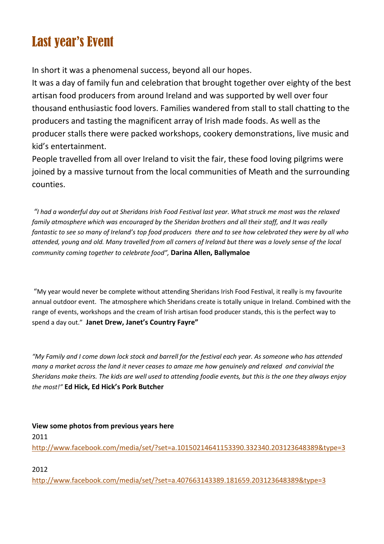## Last year's Event

In short it was a phenomenal success, beyond all our hopes.

It was a day of family fun and celebration that brought together over eighty of the best artisan food producers from around Ireland and was supported by well over four thousand enthusiastic food lovers. Families wandered from stall to stall chatting to the producers and tasting the magnificent array of Irish made foods. As well as the producer stalls there were packed workshops, cookery demonstrations, live music and kid's entertainment.

People travelled from all over Ireland to visit the fair, these food loving pilgrims were joined by a massive turnout from the local communities of Meath and the surrounding counties.

 "I had a wonderful day out at Sheridans Irish Food Festival last year. What struck me most was the relaxed family atmosphere which was encouraged by the Sheridan brothers and all their staff, and It was really fantastic to see so many of Ireland's top food producers there and to see how celebrated they were by all who attended, young and old. Many travelled from all corners of Ireland but there was a lovely sense of the local community coming together to celebrate food", Darina Allen, Ballymaloe

 "My year would never be complete without attending Sheridans Irish Food Festival, it really is my favourite annual outdoor event. The atmosphere which Sheridans create is totally unique in Ireland. Combined with the range of events, workshops and the cream of Irish artisan food producer stands, this is the perfect way to spend a day out." Janet Drew, Janet's Country Favre"

"My Family and I come down lock stock and barrell for the festival each year. As someone who has attended many a market across the land it never ceases to amaze me how genuinely and relaxed and convivial the Sheridans make theirs. The kids are well used to attending foodie events, but this is the one they always enjoy the most!" Ed Hick, Ed Hick's Pork Butcher

View some photos from previous years here 2011 http://www.facebook.com/media/set/?set=a.10150214641153390.332340.203123648389&type=3

2012

http://www.facebook.com/media/set/?set=a.407663143389.181659.203123648389&type=3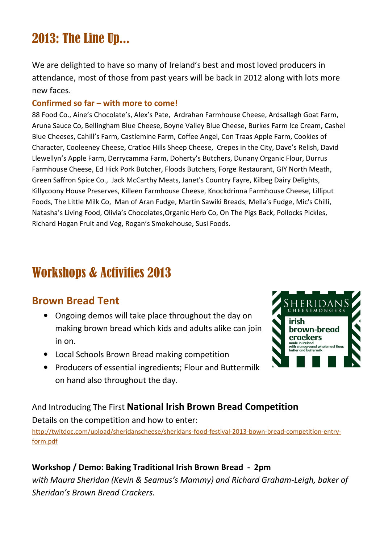## 2013: The Line Up...

We are delighted to have so many of Ireland's best and most loved producers in attendance, most of those from past years will be back in 2012 along with lots more new faces.

#### Confirmed so far – with more to come!

88 Food Co., Aine's Chocolate's, Alex's Pate, Ardrahan Farmhouse Cheese, Ardsallagh Goat Farm, Aruna Sauce Co, Bellingham Blue Cheese, Boyne Valley Blue Cheese, Burkes Farm Ice Cream, Cashel Blue Cheeses, Cahill's Farm, Castlemine Farm, Coffee Angel, Con Traas Apple Farm, Cookies of Character, Cooleeney Cheese, Cratloe Hills Sheep Cheese, Crepes in the City, Dave's Relish, David Llewellyn's Apple Farm, Derrycamma Farm, Doherty's Butchers, Dunany Organic Flour, Durrus Farmhouse Cheese, Ed Hick Pork Butcher, Floods Butchers, Forge Restaurant, GIY North Meath, Green Saffron Spice Co., Jack McCarthy Meats, Janet's Country Fayre, Kilbeg Dairy Delights, Killycoony House Preserves, Killeen Farmhouse Cheese, Knockdrinna Farmhouse Cheese, Lilliput Foods, The Little Milk Co, Man of Aran Fudge, Martin Sawiki Breads, Mella's Fudge, Mic's Chilli, Natasha's Living Food, Olivia's Chocolates,Organic Herb Co, On The Pigs Back, Pollocks Pickles, Richard Hogan Fruit and Veg, Rogan's Smokehouse, Susi Foods.

### Workshops & Activities 2013

#### Brown Bread Tent

- Ongoing demos will take place throughout the day on making brown bread which kids and adults alike can join in on.
- Local Schools Brown Bread making competition
- Producers of essential ingredients; Flour and Buttermilk on hand also throughout the day.



#### And Introducing The First National Irish Brown Bread Competition

Details on the competition and how to enter:

http://twitdoc.com/upload/sheridanscheese/sheridans-food-festival-2013-bown-bread-competition-entryform.pdf

#### Workshop / Demo: Baking Traditional Irish Brown Bread - 2pm

with Maura Sheridan (Kevin & Seamus's Mammy) and Richard Graham-Leigh, baker of Sheridan's Brown Bread Crackers.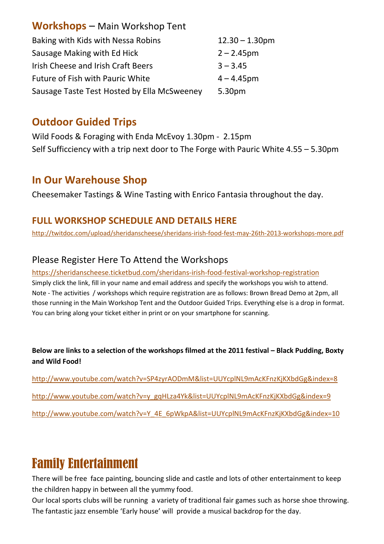| <b>Workshops</b> - Main Workshop Tent       |                   |
|---------------------------------------------|-------------------|
| Baking with Kids with Nessa Robins          | $12.30 - 1.30$ pm |
| Sausage Making with Ed Hick                 | $2 - 2.45$ pm     |
| Irish Cheese and Irish Craft Beers          | $3 - 3.45$        |
| Future of Fish with Pauric White            | $4 - 4.45$ pm     |
| Sausage Taste Test Hosted by Ella McSweeney | 5.30pm            |

#### Outdoor Guided Trips

Wild Foods & Foraging with Enda McEvoy 1.30pm - 2.15pm Self Sufficciency with a trip next door to The Forge with Pauric White 4.55 – 5.30pm

#### In Our Warehouse Shop

Cheesemaker Tastings & Wine Tasting with Enrico Fantasia throughout the day.

#### FULL WORKSHOP SCHEDULE AND DETAILS HERE

http://twitdoc.com/upload/sheridanscheese/sheridans-irish-food-fest-may-26th-2013-workshops-more.pdf

#### Please Register Here To Attend the Workshops

https://sheridanscheese.ticketbud.com/sheridans-irish-food-festival-workshop-registration Simply click the link, fill in your name and email address and specify the workshops you wish to attend. Note - The activities / workshops which require registration are as follows: Brown Bread Demo at 2pm, all those running in the Main Workshop Tent and the Outdoor Guided Trips. Everything else is a drop in format. You can bring along your ticket either in print or on your smartphone for scanning.

#### Below are links to a selection of the workshops filmed at the 2011 festival – Black Pudding, Boxty and Wild Food!

http://www.youtube.com/watch?v=SP4zyrAODmM&list=UUYcplNL9mAcKFnzKjKXbdGg&index=8 http://www.youtube.com/watch?v=y\_gqHLza4Yk&list=UUYcplNL9mAcKFnzKjKXbdGg&index=9 http://www.youtube.com/watch?v=Y\_4E\_6pWkpA&list=UUYcplNL9mAcKFnzKjKXbdGg&index=10

## Family Entertainment

There will be free face painting, bouncing slide and castle and lots of other entertainment to keep the children happy in between all the yummy food.

Our local sports clubs will be running a variety of traditional fair games such as horse shoe throwing. The fantastic jazz ensemble 'Early house' will provide a musical backdrop for the day.